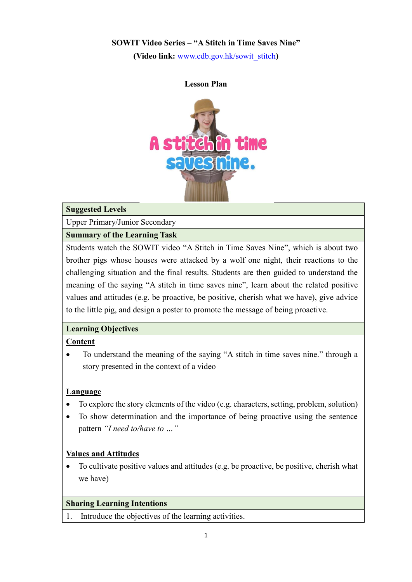### **SOWIT Video Series – "A Stitch in Time Saves Nine"**

**(Video link:** [www.edb.gov.hk/sowit\\_stitch](http://www.edb.gov.hk/sowit_stitch)**)**

#### **Lesson Plan**



### **Suggested Levels**

Upper Primary/Junior Secondary

### **Summary of the Learning Task**

Students watch the SOWIT video "A Stitch in Time Saves Nine", which is about two brother pigs whose houses were attacked by a wolf one night, their reactions to the challenging situation and the final results. Students are then guided to understand the meaning of the saying "A stitch in time saves nine", learn about the related positive values and attitudes (e.g. be proactive, be positive, cherish what we have), give advice to the little pig, and design a poster to promote the message of being proactive.

### **Learning Objectives**

### **Content**

 To understand the meaning of the saying "A stitch in time saves nine." through a story presented in the context of a video

### **Language**

- To explore the story elements of the video (e.g. characters, setting, problem, solution)
- To show determination and the importance of being proactive using the sentence pattern *"I need to/have to …"*

### **Values and Attitudes**

 To cultivate positive values and attitudes (e.g. be proactive, be positive, cherish what we have)

### **Sharing Learning Intentions**

1. Introduce the objectives of the learning activities.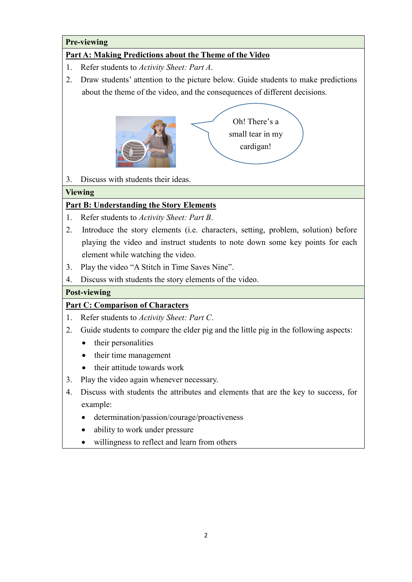## **Pre-viewing**

## **Part A: Making Predictions about the Theme of the Video**

- 1. Refer students to *Activity Sheet: Part A*.
- 2. Draw students' attention to the picture below. Guide students to make predictions about the theme of the video, and the consequences of different decisions.



3. Discuss with students their ideas.

### **Viewing**

## **Part B: Understanding the Story Elements**

- 1. Refer students to *Activity Sheet: Part B*.
- 2. Introduce the story elements (i.e. characters, setting, problem, solution) before playing the video and instruct students to note down some key points for each element while watching the video.
- 3. Play the video "A Stitch in Time Saves Nine".
- 4. Discuss with students the story elements of the video.

### **Post-viewing**

## **Part C: Comparison of Characters**

- 1. Refer students to *Activity Sheet: Part C*.
- 2. Guide students to compare the elder pig and the little pig in the following aspects:
	- their personalities
	- their time management
	- their attitude towards work
- 3. Play the video again whenever necessary.
- 4. Discuss with students the attributes and elements that are the key to success, for example:
	- determination/passion/courage/proactiveness
	- ability to work under pressure
	- willingness to reflect and learn from others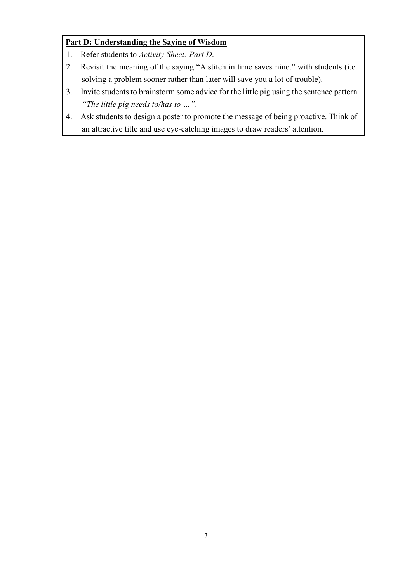# **Part D: Understanding the Saying of Wisdom**

- 1. Refer students to *Activity Sheet: Part D*.
- 2. Revisit the meaning of the saying "A stitch in time saves nine." with students (i.e. solving a problem sooner rather than later will save you a lot of trouble).
- 3. Invite students to brainstorm some advice for the little pig using the sentence pattern *"The little pig needs to/has to …"*.
- 4. Ask students to design a poster to promote the message of being proactive. Think of an attractive title and use eye-catching images to draw readers' attention.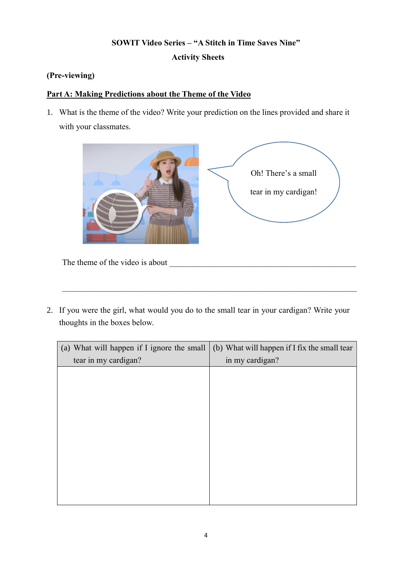# **SOWIT Video Series – "A Stitch in Time Saves Nine" Activity Sheets**

### **(Pre-viewing)**

## **Part A: Making Predictions about the Theme of the Video**

1. What is the theme of the video? Write your prediction on the lines provided and share it with your classmates.



The theme of the video is about

2. If you were the girl, what would you do to the small tear in your cardigan? Write your thoughts in the boxes below.

 $\_$  , and the set of the set of the set of the set of the set of the set of the set of the set of the set of the set of the set of the set of the set of the set of the set of the set of the set of the set of the set of th

| (a) What will happen if I ignore the small | (b) What will happen if I fix the small tear |  |
|--------------------------------------------|----------------------------------------------|--|
| tear in my cardigan?                       | in my cardigan?                              |  |
|                                            |                                              |  |
|                                            |                                              |  |
|                                            |                                              |  |
|                                            |                                              |  |
|                                            |                                              |  |
|                                            |                                              |  |
|                                            |                                              |  |
|                                            |                                              |  |
|                                            |                                              |  |
|                                            |                                              |  |
|                                            |                                              |  |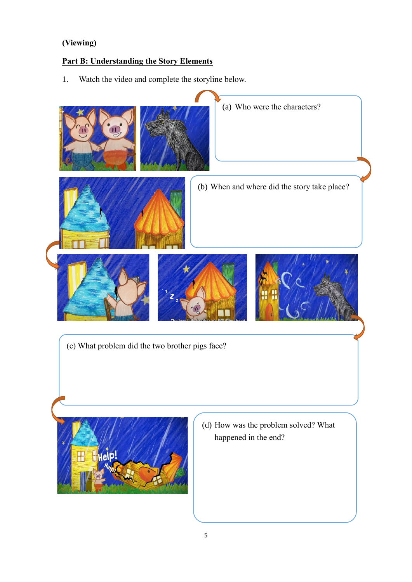# **(Viewing)**

# **Part B: Understanding the Story Elements**

1. Watch the video and complete the storyline below.

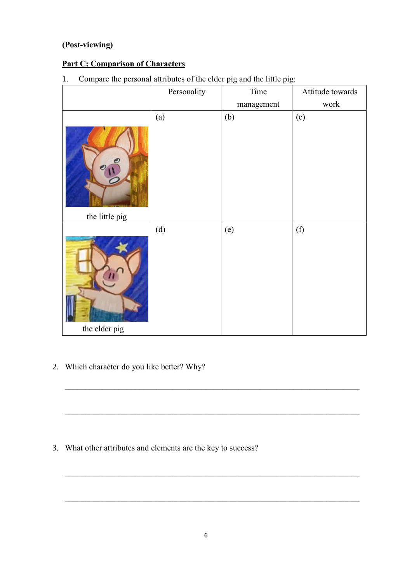# **(Post-viewing)**

# **Part C: Comparison of Characters**

1. Compare the personal attributes of the elder pig and the little pig:

|                | Personality | Time       | Attitude towards |
|----------------|-------------|------------|------------------|
|                |             | management | work             |
|                | (a)         | (b)        | (c)              |
| the little pig |             |            |                  |
| the elder pig  | (d)         | (e)        | (f)              |

2. Which character do you like better? Why?

3. What other attributes and elements are the key to success?

 $\_$  , and the set of the set of the set of the set of the set of the set of the set of the set of the set of the set of the set of the set of the set of the set of the set of the set of the set of the set of the set of th

 $\_$  , and the set of the set of the set of the set of the set of the set of the set of the set of the set of the set of the set of the set of the set of the set of the set of the set of the set of the set of the set of th

 $\_$  , and the contribution of the contribution of  $\mathcal{L}_\mathcal{A}$  , and the contribution of  $\mathcal{L}_\mathcal{A}$ 

 $\_$  , and the set of the set of the set of the set of the set of the set of the set of the set of the set of the set of the set of the set of the set of the set of the set of the set of the set of the set of the set of th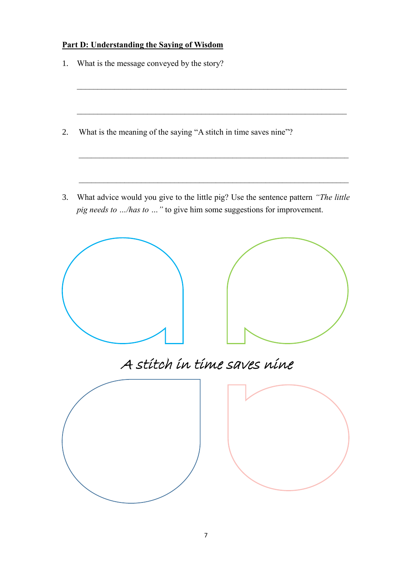# **Part D: Understanding the Saying of Wisdom**

- 1. What is the message conveyed by the story?
- 2. What is the meaning of the saying "A stitch in time saves nine"?
- 3. What advice would you give to the little pig? Use the sentence pattern *"The little pig needs to …/has to …"* to give him some suggestions for improvement.

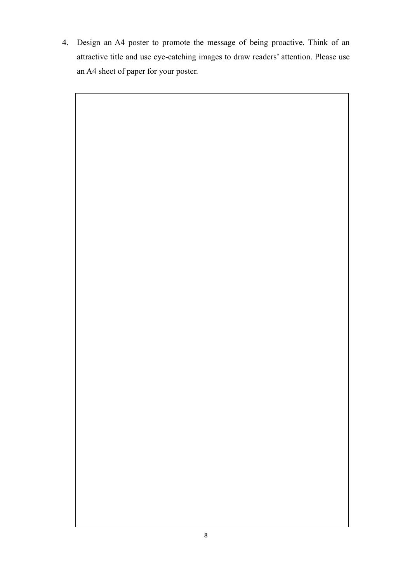4. Design an A4 poster to promote the message of being proactive. Think of an attractive title and use eye-catching images to draw readers' attention. Please use an A4 sheet of paper for your poster.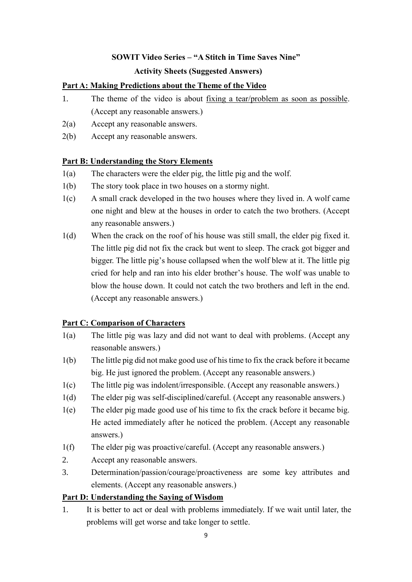### **SOWIT Video Series – "A Stitch in Time Saves Nine"**

### **Activity Sheets (Suggested Answers)**

### **Part A: Making Predictions about the Theme of the Video**

- 1. The theme of the video is about fixing a tear/problem as soon as possible. (Accept any reasonable answers.)
- 2(a) Accept any reasonable answers.
- 2(b) Accept any reasonable answers.

### **Part B: Understanding the Story Elements**

- 1(a) The characters were the elder pig, the little pig and the wolf.
- 1(b) The story took place in two houses on a stormy night.
- 1(c) A small crack developed in the two houses where they lived in. A wolf came one night and blew at the houses in order to catch the two brothers. (Accept any reasonable answers.)
- 1(d) When the crack on the roof of his house was still small, the elder pig fixed it. The little pig did not fix the crack but went to sleep. The crack got bigger and bigger. The little pig's house collapsed when the wolf blew at it. The little pig cried for help and ran into his elder brother's house. The wolf was unable to blow the house down. It could not catch the two brothers and left in the end. (Accept any reasonable answers.)

### **Part C: Comparison of Characters**

- 1(a) The little pig was lazy and did not want to deal with problems. (Accept any reasonable answers.)
- 1(b) The little pig did not make good use of his time to fix the crack before it became big. He just ignored the problem. (Accept any reasonable answers.)
- 1(c) The little pig was indolent/irresponsible. (Accept any reasonable answers.)
- 1(d) The elder pig was self-disciplined/careful. (Accept any reasonable answers.)
- 1(e) The elder pig made good use of his time to fix the crack before it became big. He acted immediately after he noticed the problem. (Accept any reasonable answers.)
- 1(f) The elder pig was proactive/careful. (Accept any reasonable answers.)
- 2. Accept any reasonable answers.
- 3. Determination/passion/courage/proactiveness are some key attributes and elements. (Accept any reasonable answers.)

### **Part D: Understanding the Saying of Wisdom**

1. It is better to act or deal with problems immediately. If we wait until later, the problems will get worse and take longer to settle.